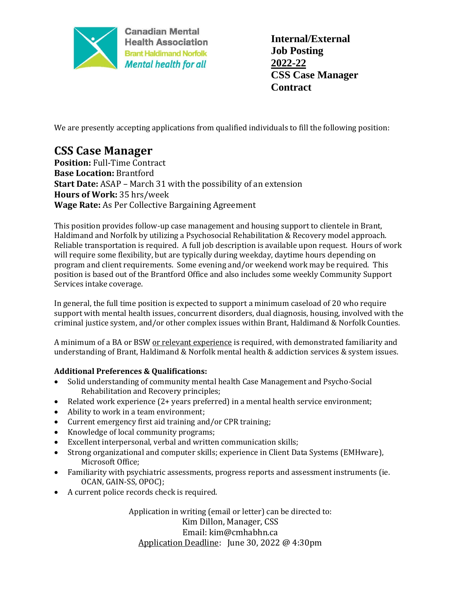

**Canadian Mental Health Association Brant Haldimand Norfolk Mental health for all** 

**Internal/External Job Posting 2022-22 CSS Case Manager Contract**

We are presently accepting applications from qualified individuals to fill the following position:

## **CSS Case Manager**

**Position:** Full-Time Contract **Base Location:** Brantford **Start Date:** ASAP – March 31 with the possibility of an extension **Hours of Work:** 35 hrs/week **Wage Rate:** As Per Collective Bargaining Agreement

This position provides follow-up case management and housing support to clientele in Brant, Haldimand and Norfolk by utilizing a Psychosocial Rehabilitation & Recovery model approach. Reliable transportation is required. A full job description is available upon request. Hours of work will require some flexibility, but are typically during weekday, daytime hours depending on program and client requirements. Some evening and/or weekend work may be required. This position is based out of the Brantford Office and also includes some weekly Community Support Services intake coverage.

In general, the full time position is expected to support a minimum caseload of 20 who require support with mental health issues, concurrent disorders, dual diagnosis, housing, involved with the criminal justice system, and/or other complex issues within Brant, Haldimand & Norfolk Counties.

A minimum of a BA or BSW or relevant experience is required, with demonstrated familiarity and understanding of Brant, Haldimand & Norfolk mental health & addiction services & system issues.

## **Additional Preferences & Qualifications:**

- Solid understanding of community mental health Case Management and Psycho-Social Rehabilitation and Recovery principles;
- Related work experience (2+ years preferred) in a mental health service environment;
- Ability to work in a team environment;
- Current emergency first aid training and/or CPR training;
- Knowledge of local community programs;
- Excellent interpersonal, verbal and written communication skills;
- Strong organizational and computer skills; experience in Client Data Systems (EMHware), Microsoft Office;
- Familiarity with psychiatric assessments, progress reports and assessment instruments (ie. OCAN, GAIN-SS, OPOC);
- A current police records check is required.

Application in writing (email or letter) can be directed to: Kim Dillon, Manager, CSS Email: kim@cmhabhn.ca Application Deadline: June 30, 2022 @ 4:30pm